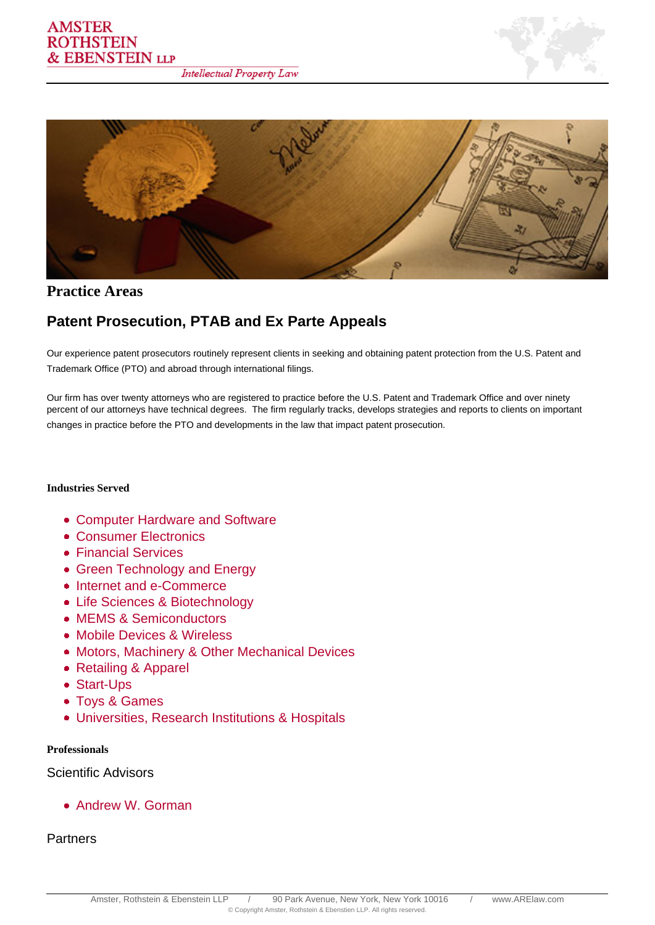



**Practice Areas**

# **Patent Prosecution, PTAB and Ex Parte Appeals**

Our experience patent prosecutors routinely represent clients in seeking and obtaining patent protection from the U.S. Patent and Trademark Office (PTO) and abroad through international filings.

Our firm has over twenty attorneys who are registered to practice before the U.S. Patent and Trademark Office and over ninety percent of our attorneys have technical degrees. The firm regularly tracks, develops strategies and reports to clients on important changes in practice before the PTO and developments in the law that impact patent prosecution.

### **Industries Served**

- [Computer Hardware and Software](/industry/computer-hardware-and-software/)
- Consumer Electronics
- Financial Services
- Green Technology and Energy
- Internet and e-Commerce
- Life Sciences & Biotechnology
- MEMS & Semiconductors
- Mobile Devices & Wireless
- Motors, Machinery & Other Mechanical Devices
- Retailing & Apparel
- Start-Ups
- Toys & Games
- Universities, Research Institutions & Hospitals

#### **Professionals**

Scientific Advisors

Andrew W. Gorman

**Partners**